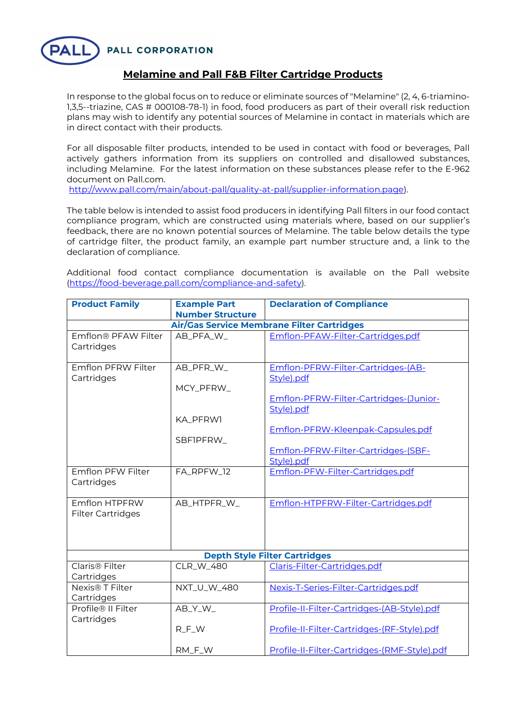**PALL CORPORATION** 



## **Melamine and Pall F&B Filter Cartridge Products**

In response to the global focus on to reduce or eliminate sources of "Melamine" (2, 4, 6-triamino-1,3,5--triazine, CAS # 000108-78-1) in food, food producers as part of their overall risk reduction plans may wish to identify any potential sources of Melamine in contact in materials which are in direct contact with their products.

For all disposable filter products, intended to be used in contact with food or beverages, Pall actively gathers information from its suppliers on controlled and disallowed substances, including Melamine. For the latest information on these substances please refer to the E-962 document on Pall.com.

http://www.pall.com/main/about-pall/quality-at-pall/supplier-information.page).

The table below is intended to assist food producers in identifying Pall filters in our food contact compliance program, which are constructed using materials where, based on our supplier's feedback, there are no known potential sources of Melamine. The table below details the type of cartridge filter, the product family, an example part number structure and, a link to the declaration of compliance.

Additional food contact compliance documentation is available on the Pall website (https://food-beverage.pall.com/compliance-and-safety).

| <b>Product Family</b>                     | <b>Example Part</b><br><b>Number Structure</b> | <b>Declaration of Compliance</b>                     |  |  |
|-------------------------------------------|------------------------------------------------|------------------------------------------------------|--|--|
|                                           |                                                | Air/Gas Service Membrane Filter Cartridges           |  |  |
| Emflon® PFAW Filter                       | AB_PFA_W_                                      | Emflon-PFAW-Filter-Cartridges.pdf                    |  |  |
| Cartridges                                |                                                |                                                      |  |  |
| <b>Emflon PFRW Filter</b><br>Cartridges   | AB_PFR_W_                                      | Emflon-PFRW-Filter-Cartridges-(AB-<br>Style).pdf     |  |  |
|                                           | MCY_PFRW_                                      |                                                      |  |  |
|                                           |                                                | Emflon-PFRW-Filter-Cartridges-(Junior-<br>Style).pdf |  |  |
|                                           | KA PFRW1                                       |                                                      |  |  |
|                                           | SBFIPFRW_                                      | Emflon-PFRW-Kleenpak-Capsules.pdf                    |  |  |
|                                           |                                                | Emflon-PFRW-Filter-Cartridges-(SBF-                  |  |  |
|                                           |                                                | Style).pdf                                           |  |  |
| Emflon PFW Filter<br>Cartridges           | FA_RPFW_12                                     | Emflon-PFW-Filter-Cartridges.pdf                     |  |  |
| Emflon HTPFRW<br><b>Filter Cartridges</b> | AB_HTPFR_W_                                    | Emflon-HTPFRW-Filter-Cartridges.pdf                  |  |  |
| <b>Depth Style Filter Cartridges</b>      |                                                |                                                      |  |  |
| Claris <sup>®</sup> Filter<br>Cartridges  | CLR_W_480                                      | Claris-Filter-Cartridges.pdf                         |  |  |
| Nexis <sup>®</sup> T Filter               | NXT_U_W_480                                    | Nexis-T-Series-Filter-Cartridges.pdf                 |  |  |
| Cartridges                                |                                                |                                                      |  |  |
| Profile® II Filter<br>Cartridges          | AB_Y_W_                                        | Profile-II-Filter-Cartridges-(AB-Style).pdf          |  |  |
|                                           | $R$ <sub>_F</sub> _W                           | Profile-II-Filter-Cartridges-(RF-Style).pdf          |  |  |
|                                           | RM_F_W                                         | Profile-II-Filter-Cartridges-(RMF-Style).pdf         |  |  |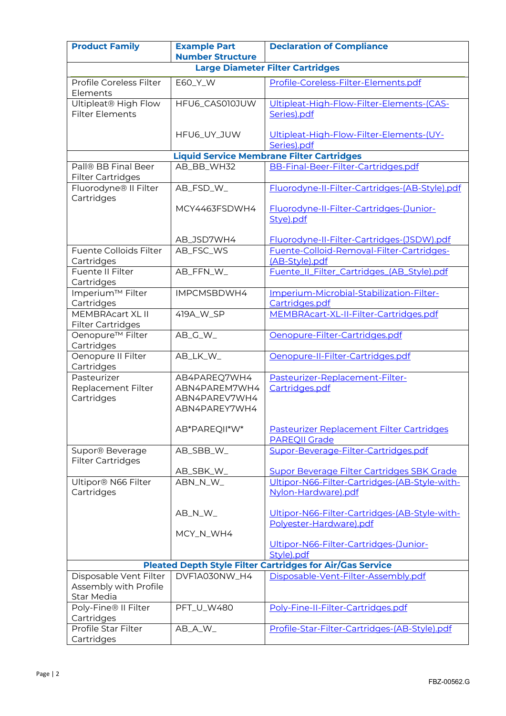| <b>Product Family</b>                                            | <b>Example Part</b><br><b>Number Structure</b>                  | <b>Declaration of Compliance</b>                                         |  |  |
|------------------------------------------------------------------|-----------------------------------------------------------------|--------------------------------------------------------------------------|--|--|
| <b>Large Diameter Filter Cartridges</b>                          |                                                                 |                                                                          |  |  |
| Profile Coreless Filter<br>Elements                              | E60_Y_W                                                         | Profile-Coreless-Filter-Elements.pdf                                     |  |  |
| Ultipleat® High Flow<br><b>Filter Elements</b>                   | HFU6_CAS010JUW                                                  | Ultipleat-High-Flow-Filter-Elements-(CAS-<br>Series).pdf                 |  |  |
|                                                                  | HFU6_UY_JUW                                                     | Ultipleat-High-Flow-Filter-Elements-(UY-<br>Series).pdf                  |  |  |
| <b>Liquid Service Membrane Filter Cartridges</b>                 |                                                                 |                                                                          |  |  |
| Pall® BB Final Beer<br><b>Filter Cartridges</b>                  | AB_BB_WH32                                                      | BB-Final-Beer-Filter-Cartridges.pdf                                      |  |  |
| Fluorodyne® II Filter<br>Cartridges                              | AB_FSD_W_                                                       | Fluorodyne-II-Filter-Cartridges-(AB-Style).pdf                           |  |  |
|                                                                  | MCY4463FSDWH4                                                   | Fluorodyne-II-Filter-Cartridges-(Junior-<br>Stye).pdf                    |  |  |
|                                                                  | AB_JSD7WH4                                                      | Fluorodyne-II-Filter-Cartridges-(JSDW).pdf                               |  |  |
| Fuente Colloids Filter<br>Cartridges                             | AB_FSC_WS                                                       | Fuente-Colloid-Removal-Filter-Cartridges-<br>(AB-Style).pdf              |  |  |
| Fuente II Filter<br>Cartridges                                   | AB_FFN_W_                                                       | Fuente_II_Filter_Cartridges_(AB_Style).pdf                               |  |  |
| Imperium™ Filter<br>Cartridges                                   | IMPCMSBDWH4                                                     | Imperium-Microbial-Stabilization-Filter-<br>Cartridges.pdf               |  |  |
| <b>MEMBRAcart XL II</b><br><b>Filter Cartridges</b>              | 419A_W_SP                                                       | MEMBRAcart-XL-II-Filter-Cartridges.pdf                                   |  |  |
| Oenopure <sup>™</sup> Filter<br>Cartridges                       | $AB_G_W$                                                        | Oenopure-Filter-Cartridges.pdf                                           |  |  |
| Oenopure II Filter<br>Cartridges                                 | AB_LK_W_                                                        | Oenopure-II-Filter-Cartridges.pdf                                        |  |  |
| Pasteurizer<br>Replacement Filter<br>Cartridges                  | AB4PAREQ7WH4<br>ABN4PAREM7WH4<br>ABN4PAREV7WH4<br>ABN4PAREY7WH4 | Pasteurizer-Replacement-Filter-<br>Cartridges.pdf                        |  |  |
|                                                                  | AB*PAREQII*W*                                                   | Pasteurizer Replacement Filter Cartridges<br><b>PAREQII Grade</b>        |  |  |
| Supor® Beverage<br><b>Filter Cartridges</b>                      | AB_SBB_W_                                                       | Supor-Beverage-Filter-Cartridges.pdf                                     |  |  |
|                                                                  | AB_SBK_W_                                                       | <b>Supor Beverage Filter Cartridges SBK Grade</b>                        |  |  |
| Ultipor® N66 Filter<br>Cartridges                                | ABN_N_W_                                                        | Ultipor-N66-Filter-Cartridges-(AB-Style-with-<br>Nylon-Hardware).pdf     |  |  |
|                                                                  | AB_N_W_                                                         | Ultipor-N66-Filter-Cartridges-(AB-Style-with-<br>Polyester-Hardware).pdf |  |  |
|                                                                  | MCY_N_WH4                                                       |                                                                          |  |  |
|                                                                  |                                                                 | Ultipor-N66-Filter-Cartridges-(Junior-<br>Style).pdf                     |  |  |
| <b>Pleated Depth Style Filter Cartridges for Air/Gas Service</b> |                                                                 |                                                                          |  |  |
| Disposable Vent Filter<br>Assembly with Profile<br>Star Media    | DVF1A030NW_H4                                                   | Disposable-Vent-Filter-Assembly.pdf                                      |  |  |
| Poly-Fine® II Filter<br>Cartridges                               | PFT_U_W480                                                      | Poly-Fine-II-Filter-Cartridges.pdf                                       |  |  |
| Profile Star Filter<br>Cartridges                                | AB_A_W_                                                         | Profile-Star-Filter-Cartridges-(AB-Style).pdf                            |  |  |